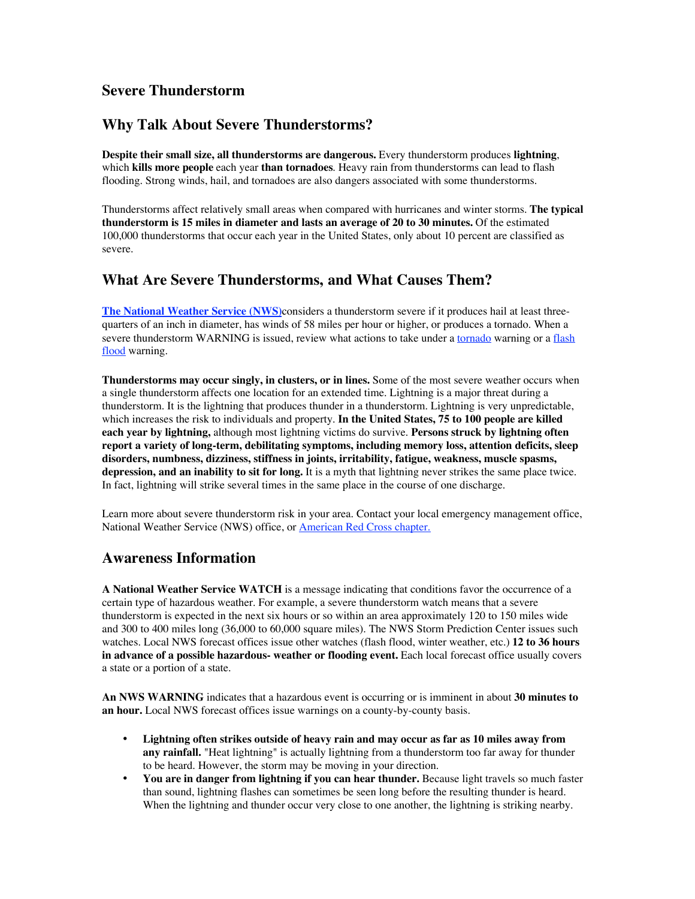## **Severe Thunderstorm**

# **Why Talk About Severe Thunderstorms?**

**Despite their small size, all thunderstorms are dangerous.** Every thunderstorm produces **lightning**, which **kills more people** each year **than tornadoes**. Heavy rain from thunderstorms can lead to flash flooding. Strong winds, hail, and tornadoes are also dangers associated with some thunderstorms.

Thunderstorms affect relatively small areas when compared with hurricanes and winter storms. **The typical thunderstorm is 15 miles in diameter and lasts an average of 20 to 30 minutes.** Of the estimated 100,000 thunderstorms that occur each year in the United States, only about 10 percent are classified as severe.

# **What Are Severe Thunderstorms, and What Causes Them?**

**The National Weather Service (NWS)**considers a thunderstorm severe if it produces hail at least threequarters of an inch in diameter, has winds of 58 miles per hour or higher, or produces a tornado. When a severe thunderstorm WARNING is issued, review what actions to take under a tornado warning or a flash flood warning.

**Thunderstorms may occur singly, in clusters, or in lines.** Some of the most severe weather occurs when a single thunderstorm affects one location for an extended time. Lightning is a major threat during a thunderstorm. It is the lightning that produces thunder in a thunderstorm. Lightning is very unpredictable, which increases the risk to individuals and property. **In the United States, 75 to 100 people are killed each year by lightning,** although most lightning victims do survive. **Persons struck by lightning often report a variety of long-term, debilitating symptoms, including memory loss, attention deficits, sleep disorders, numbness, dizziness, stiffness in joints, irritability, fatigue, weakness, muscle spasms, depression, and an inability to sit for long.** It is a myth that lightning never strikes the same place twice. In fact, lightning will strike several times in the same place in the course of one discharge.

Learn more about severe thunderstorm risk in your area. Contact your local emergency management office, National Weather Service (NWS) office, or American Red Cross chapter.

# **Awareness Information**

**A National Weather Service WATCH** is a message indicating that conditions favor the occurrence of a certain type of hazardous weather. For example, a severe thunderstorm watch means that a severe thunderstorm is expected in the next six hours or so within an area approximately 120 to 150 miles wide and 300 to 400 miles long (36,000 to 60,000 square miles). The NWS Storm Prediction Center issues such watches. Local NWS forecast offices issue other watches (flash flood, winter weather, etc.) **12 to 36 hours in advance of a possible hazardous- weather or flooding event.** Each local forecast office usually covers a state or a portion of a state.

**An NWS WARNING** indicates that a hazardous event is occurring or is imminent in about **30 minutes to an hour.** Local NWS forecast offices issue warnings on a county-by-county basis.

**Lightning often strikes outside of heavy rain and may occur as far as 10 miles away from any rainfall.** "Heat lightning" is actually lightning from a thunderstorm too far away for thunder to be heard. However, the storm may be moving in your direction.

**You are in danger from lightning if you can hear thunder.** Because light travels so much faster than sound, lightning flashes can sometimes be seen long before the resulting thunder is heard. When the lightning and thunder occur very close to one another, the lightning is striking nearby.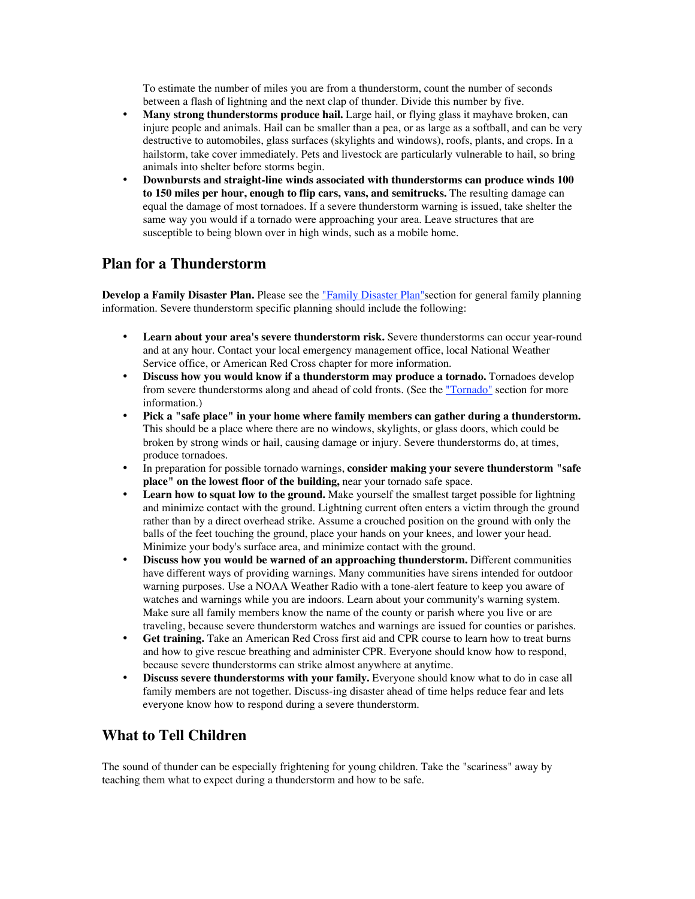To estimate the number of miles you are from a thunderstorm, count the number of seconds between a flash of lightning and the next clap of thunder. Divide this number by five. **Many strong thunderstorms produce hail.** Large hail, or flying glass it mayhave broken, can injure people and animals. Hail can be smaller than a pea, or as large as a softball, and can be very destructive to automobiles, glass surfaces (skylights and windows), roofs, plants, and crops. In a hailstorm, take cover immediately. Pets and livestock are particularly vulnerable to hail, so bring animals into shelter before storms begin.

**Downbursts and straight-line winds associated with thunderstorms can produce winds 100 to 150 miles per hour, enough to flip cars, vans, and semitrucks.** The resulting damage can equal the damage of most tornadoes. If a severe thunderstorm warning is issued, take shelter the same way you would if a tornado were approaching your area. Leave structures that are susceptible to being blown over in high winds, such as a mobile home.

### **Plan for a Thunderstorm**

**Develop a Family Disaster Plan.** Please see the "Family Disaster Plan"section for general family planning information. Severe thunderstorm specific planning should include the following:

**Learn about your area's severe thunderstorm risk.** Severe thunderstorms can occur year-round and at any hour. Contact your local emergency management office, local National Weather Service office, or American Red Cross chapter for more information.

**Discuss how you would know if a thunderstorm may produce a tornado.** Tornadoes develop from severe thunderstorms along and ahead of cold fronts. (See the "Tornado" section for more information.)

**Pick a "safe place" in your home where family members can gather during a thunderstorm.** This should be a place where there are no windows, skylights, or glass doors, which could be broken by strong winds or hail, causing damage or injury. Severe thunderstorms do, at times, produce tornadoes.

In preparation for possible tornado warnings, **consider making your severe thunderstorm "safe place" on the lowest floor of the building,** near your tornado safe space.

**Learn how to squat low to the ground.** Make yourself the smallest target possible for lightning and minimize contact with the ground. Lightning current often enters a victim through the ground rather than by a direct overhead strike. Assume a crouched position on the ground with only the balls of the feet touching the ground, place your hands on your knees, and lower your head. Minimize your body's surface area, and minimize contact with the ground.

**Discuss how you would be warned of an approaching thunderstorm.** Different communities have different ways of providing warnings. Many communities have sirens intended for outdoor warning purposes. Use a NOAA Weather Radio with a tone-alert feature to keep you aware of watches and warnings while you are indoors. Learn about your community's warning system. Make sure all family members know the name of the county or parish where you live or are traveling, because severe thunderstorm watches and warnings are issued for counties or parishes. **Get training.** Take an American Red Cross first aid and CPR course to learn how to treat burns and how to give rescue breathing and administer CPR. Everyone should know how to respond, because severe thunderstorms can strike almost anywhere at anytime.

**Discuss severe thunderstorms with your family.** Everyone should know what to do in case all family members are not together. Discuss-ing disaster ahead of time helps reduce fear and lets everyone know how to respond during a severe thunderstorm.

### **What to Tell Children**

The sound of thunder can be especially frightening for young children. Take the "scariness" away by teaching them what to expect during a thunderstorm and how to be safe.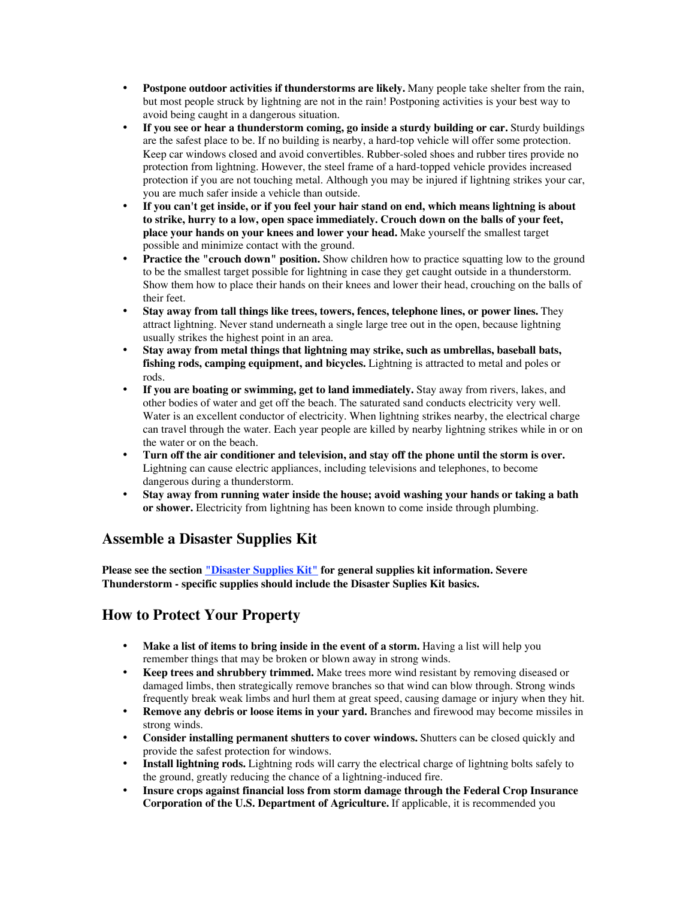**Postpone outdoor activities if thunderstorms are likely.** Many people take shelter from the rain, but most people struck by lightning are not in the rain! Postponing activities is your best way to avoid being caught in a dangerous situation.

**If you see or hear a thunderstorm coming, go inside a sturdy building or car.** Sturdy buildings are the safest place to be. If no building is nearby, a hard-top vehicle will offer some protection. Keep car windows closed and avoid convertibles. Rubber-soled shoes and rubber tires provide no protection from lightning. However, the steel frame of a hard-topped vehicle provides increased protection if you are not touching metal. Although you may be injured if lightning strikes your car, you are much safer inside a vehicle than outside.

**If you can't get inside, or if you feel your hair stand on end, which means lightning is about to strike, hurry to a low, open space immediately. Crouch down on the balls of your feet, place your hands on your knees and lower your head.** Make yourself the smallest target possible and minimize contact with the ground.

**Practice the "crouch down" position.** Show children how to practice squatting low to the ground to be the smallest target possible for lightning in case they get caught outside in a thunderstorm. Show them how to place their hands on their knees and lower their head, crouching on the balls of their feet.

**Stay away from tall things like trees, towers, fences, telephone lines, or power lines.** They attract lightning. Never stand underneath a single large tree out in the open, because lightning usually strikes the highest point in an area.

**Stay away from metal things that lightning may strike, such as umbrellas, baseball bats, fishing rods, camping equipment, and bicycles.** Lightning is attracted to metal and poles or rods.

**If you are boating or swimming, get to land immediately.** Stay away from rivers, lakes, and other bodies of water and get off the beach. The saturated sand conducts electricity very well. Water is an excellent conductor of electricity. When lightning strikes nearby, the electrical charge can travel through the water. Each year people are killed by nearby lightning strikes while in or on the water or on the beach.

**Turn off the air conditioner and television, and stay off the phone until the storm is over.** Lightning can cause electric appliances, including televisions and telephones, to become dangerous during a thunderstorm.

**Stay away from running water inside the house; avoid washing your hands or taking a bath or shower.** Electricity from lightning has been known to come inside through plumbing.

#### **Assemble a Disaster Supplies Kit**

**Please see the section "Disaster Supplies Kit" for general supplies kit information. Severe Thunderstorm - specific supplies should include the Disaster Suplies Kit basics.**

#### **How to Protect Your Property**

**Make a list of items to bring inside in the event of a storm.** Having a list will help you remember things that may be broken or blown away in strong winds.

**Keep trees and shrubbery trimmed.** Make trees more wind resistant by removing diseased or damaged limbs, then strategically remove branches so that wind can blow through. Strong winds frequently break weak limbs and hurl them at great speed, causing damage or injury when they hit. **Remove any debris or loose items in your yard.** Branches and firewood may become missiles in strong winds.

**Consider installing permanent shutters to cover windows.** Shutters can be closed quickly and provide the safest protection for windows.

**Install lightning rods.** Lightning rods will carry the electrical charge of lightning bolts safely to the ground, greatly reducing the chance of a lightning-induced fire.

**Insure crops against financial loss from storm damage through the Federal Crop Insurance Corporation of the U.S. Department of Agriculture.** If applicable, it is recommended you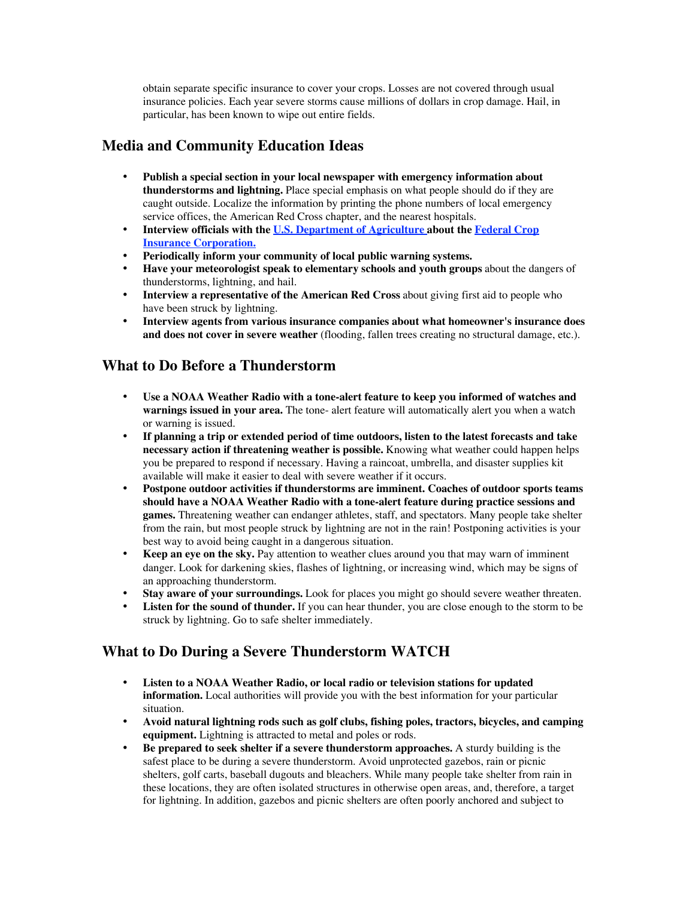obtain separate specific insurance to cover your crops. Losses are not covered through usual insurance policies. Each year severe storms cause millions of dollars in crop damage. Hail, in particular, has been known to wipe out entire fields.

#### **Media and Community Education Ideas**

**Publish a special section in your local newspaper with emergency information about thunderstorms and lightning.** Place special emphasis on what people should do if they are caught outside. Localize the information by printing the phone numbers of local emergency service offices, the American Red Cross chapter, and the nearest hospitals. **Interview officials with the U.S. Department of Agriculture about the Federal Crop Insurance Corporation.**

**Periodically inform your community of local public warning systems.**

**Have your meteorologist speak to elementary schools and youth groups** about the dangers of thunderstorms, lightning, and hail.

**Interview a representative of the American Red Cross** about giving first aid to people who have been struck by lightning.

**Interview agents from various insurance companies about what homeowner's insurance does and does not cover in severe weather** (flooding, fallen trees creating no structural damage, etc.).

#### **What to Do Before a Thunderstorm**

**Use a NOAA Weather Radio with a tone-alert feature to keep you informed of watches and warnings issued in your area.** The tone- alert feature will automatically alert you when a watch or warning is issued.

**If planning a trip or extended period of time outdoors, listen to the latest forecasts and take necessary action if threatening weather is possible.** Knowing what weather could happen helps you be prepared to respond if necessary. Having a raincoat, umbrella, and disaster supplies kit available will make it easier to deal with severe weather if it occurs.

**Postpone outdoor activities if thunderstorms are imminent. Coaches of outdoor sports teams should have a NOAA Weather Radio with a tone-alert feature during practice sessions and games.** Threatening weather can endanger athletes, staff, and spectators. Many people take shelter from the rain, but most people struck by lightning are not in the rain! Postponing activities is your best way to avoid being caught in a dangerous situation.

**Keep an eye on the sky.** Pay attention to weather clues around you that may warn of imminent danger. Look for darkening skies, flashes of lightning, or increasing wind, which may be signs of an approaching thunderstorm.

**Stay aware of your surroundings.** Look for places you might go should severe weather threaten. **Listen for the sound of thunder.** If you can hear thunder, you are close enough to the storm to be struck by lightning. Go to safe shelter immediately.

### **What to Do During a Severe Thunderstorm WATCH**

**Listen to a NOAA Weather Radio, or local radio or television stations for updated information.** Local authorities will provide you with the best information for your particular situation.

**Avoid natural lightning rods such as golf clubs, fishing poles, tractors, bicycles, and camping equipment.** Lightning is attracted to metal and poles or rods.

**Be prepared to seek shelter if a severe thunderstorm approaches.** A sturdy building is the safest place to be during a severe thunderstorm. Avoid unprotected gazebos, rain or picnic shelters, golf carts, baseball dugouts and bleachers. While many people take shelter from rain in these locations, they are often isolated structures in otherwise open areas, and, therefore, a target for lightning. In addition, gazebos and picnic shelters are often poorly anchored and subject to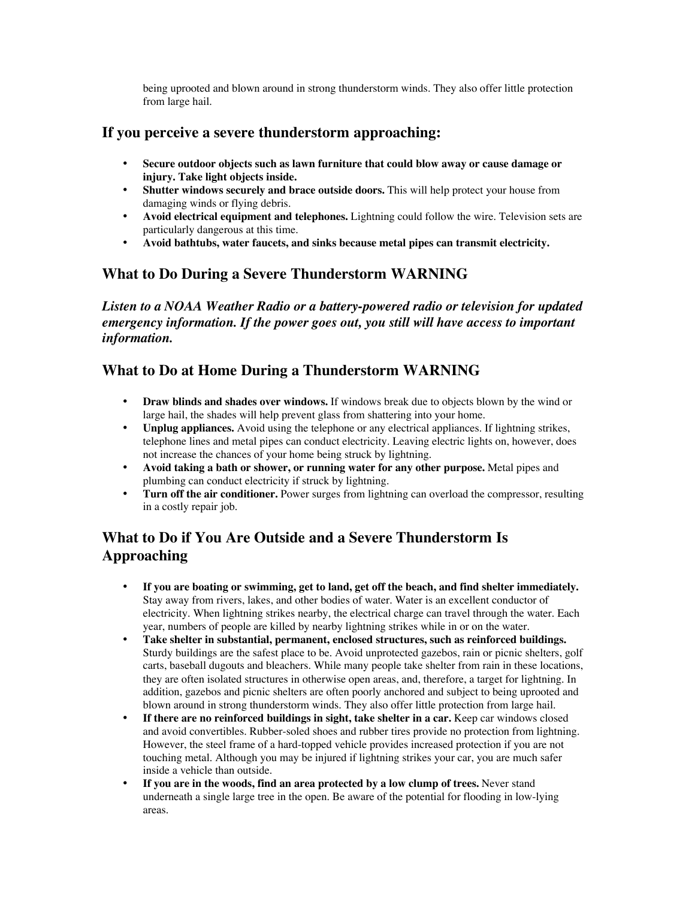being uprooted and blown around in strong thunderstorm winds. They also offer little protection from large hail.

## **If you perceive a severe thunderstorm approaching:**

**Secure outdoor objects such as lawn furniture that could blow away or cause damage or injury. Take light objects inside.**

**Shutter windows securely and brace outside doors.** This will help protect your house from damaging winds or flying debris.

**Avoid electrical equipment and telephones.** Lightning could follow the wire. Television sets are particularly dangerous at this time.

**Avoid bathtubs, water faucets, and sinks because metal pipes can transmit electricity.**

#### **What to Do During a Severe Thunderstorm WARNING**

*Listen to a NOAA Weather Radio or a battery-powered radio or television for updated emergency information. If the power goes out, you still will have access to important information.*

## **What to Do at Home During a Thunderstorm WARNING**

**Draw blinds and shades over windows.** If windows break due to objects blown by the wind or large hail, the shades will help prevent glass from shattering into your home.

**Unplug appliances.** Avoid using the telephone or any electrical appliances. If lightning strikes, telephone lines and metal pipes can conduct electricity. Leaving electric lights on, however, does not increase the chances of your home being struck by lightning.

**Avoid taking a bath or shower, or running water for any other purpose.** Metal pipes and plumbing can conduct electricity if struck by lightning.

**Turn off the air conditioner.** Power surges from lightning can overload the compressor, resulting in a costly repair job.

# **What to Do if You Are Outside and a Severe Thunderstorm Is Approaching**

**If you are boating or swimming, get to land, get off the beach, and find shelter immediately.** Stay away from rivers, lakes, and other bodies of water. Water is an excellent conductor of electricity. When lightning strikes nearby, the electrical charge can travel through the water. Each year, numbers of people are killed by nearby lightning strikes while in or on the water. **Take shelter in substantial, permanent, enclosed structures, such as reinforced buildings.** Sturdy buildings are the safest place to be. Avoid unprotected gazebos, rain or picnic shelters, golf carts, baseball dugouts and bleachers. While many people take shelter from rain in these locations, they are often isolated structures in otherwise open areas, and, therefore, a target for lightning. In addition, gazebos and picnic shelters are often poorly anchored and subject to being uprooted and blown around in strong thunderstorm winds. They also offer little protection from large hail. **If there are no reinforced buildings in sight, take shelter in a car.** Keep car windows closed and avoid convertibles. Rubber-soled shoes and rubber tires provide no protection from lightning. However, the steel frame of a hard-topped vehicle provides increased protection if you are not touching metal. Although you may be injured if lightning strikes your car, you are much safer inside a vehicle than outside.

**If you are in the woods, find an area protected by a low clump of trees.** Never stand underneath a single large tree in the open. Be aware of the potential for flooding in low-lying areas.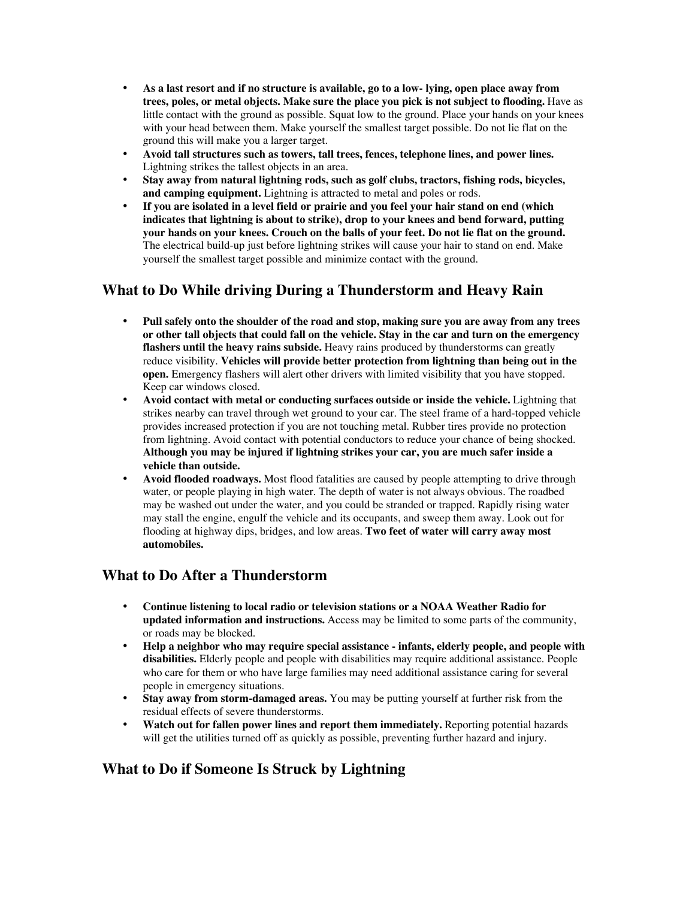**As a last resort and if no structure is available, go to a low- lying, open place away from trees, poles, or metal objects. Make sure the place you pick is not subject to flooding.** Have as little contact with the ground as possible. Squat low to the ground. Place your hands on your knees with your head between them. Make yourself the smallest target possible. Do not lie flat on the ground this will make you a larger target.

**Avoid tall structures such as towers, tall trees, fences, telephone lines, and power lines.** Lightning strikes the tallest objects in an area.

**Stay away from natural lightning rods, such as golf clubs, tractors, fishing rods, bicycles, and camping equipment.** Lightning is attracted to metal and poles or rods.

**If you are isolated in a level field or prairie and you feel your hair stand on end (which indicates that lightning is about to strike), drop to your knees and bend forward, putting your hands on your knees. Crouch on the balls of your feet. Do not lie flat on the ground.** The electrical build-up just before lightning strikes will cause your hair to stand on end. Make yourself the smallest target possible and minimize contact with the ground.

#### **What to Do While driving During a Thunderstorm and Heavy Rain**

**Pull safely onto the shoulder of the road and stop, making sure you are away from any trees or other tall objects that could fall on the vehicle. Stay in the car and turn on the emergency flashers until the heavy rains subside.** Heavy rains produced by thunderstorms can greatly reduce visibility. **Vehicles will provide better protection from lightning than being out in the open.** Emergency flashers will alert other drivers with limited visibility that you have stopped. Keep car windows closed.

**Avoid contact with metal or conducting surfaces outside or inside the vehicle.** Lightning that strikes nearby can travel through wet ground to your car. The steel frame of a hard-topped vehicle provides increased protection if you are not touching metal. Rubber tires provide no protection from lightning. Avoid contact with potential conductors to reduce your chance of being shocked. **Although you may be injured if lightning strikes your car, you are much safer inside a vehicle than outside.**

**Avoid flooded roadways.** Most flood fatalities are caused by people attempting to drive through water, or people playing in high water. The depth of water is not always obvious. The roadbed may be washed out under the water, and you could be stranded or trapped. Rapidly rising water may stall the engine, engulf the vehicle and its occupants, and sweep them away. Look out for flooding at highway dips, bridges, and low areas. **Two feet of water will carry away most automobiles.**

#### **What to Do After a Thunderstorm**

**Continue listening to local radio or television stations or a NOAA Weather Radio for updated information and instructions.** Access may be limited to some parts of the community, or roads may be blocked.

**Help a neighbor who may require special assistance - infants, elderly people, and people with disabilities.** Elderly people and people with disabilities may require additional assistance. People who care for them or who have large families may need additional assistance caring for several people in emergency situations.

**Stay away from storm-damaged areas.** You may be putting yourself at further risk from the residual effects of severe thunderstorms.

**Watch out for fallen power lines and report them immediately.** Reporting potential hazards will get the utilities turned off as quickly as possible, preventing further hazard and injury.

#### **What to Do if Someone Is Struck by Lightning**